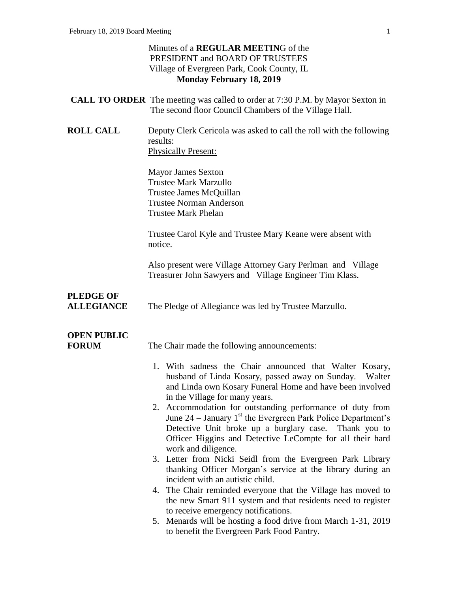#### Minutes of a **REGULAR MEETIN**G of the PRESIDENT and BOARD OF TRUSTEES Village of Evergreen Park, Cook County, IL **Monday February 18, 2019**

- **CALL TO ORDER** The meeting was called to order at 7:30 P.M. by Mayor Sexton in The second floor Council Chambers of the Village Hall.
- **ROLL CALL** Deputy Clerk Cericola was asked to call the roll with the following results: Physically Present:

Mayor James Sexton Trustee Mark Marzullo Trustee James McQuillan Trustee Norman Anderson Trustee Mark Phelan

Trustee Carol Kyle and Trustee Mary Keane were absent with notice.

Also present were Village Attorney Gary Perlman and Village Treasurer John Sawyers and Village Engineer Tim Klass.

# **PLEDGE OF**

**ALLEGIANCE** The Pledge of Allegiance was led by Trustee Marzullo.

# **OPEN PUBLIC**

**FORUM** The Chair made the following announcements:

- 1. With sadness the Chair announced that Walter Kosary, husband of Linda Kosary, passed away on Sunday. Walter and Linda own Kosary Funeral Home and have been involved in the Village for many years.
- 2. Accommodation for outstanding performance of duty from June  $24$  – January 1<sup>st</sup> the Evergreen Park Police Department's Detective Unit broke up a burglary case. Thank you to Officer Higgins and Detective LeCompte for all their hard work and diligence.
- 3. Letter from Nicki Seidl from the Evergreen Park Library thanking Officer Morgan's service at the library during an incident with an autistic child.
- 4. The Chair reminded everyone that the Village has moved to the new Smart 911 system and that residents need to register to receive emergency notifications.
- 5. Menards will be hosting a food drive from March 1-31, 2019 to benefit the Evergreen Park Food Pantry.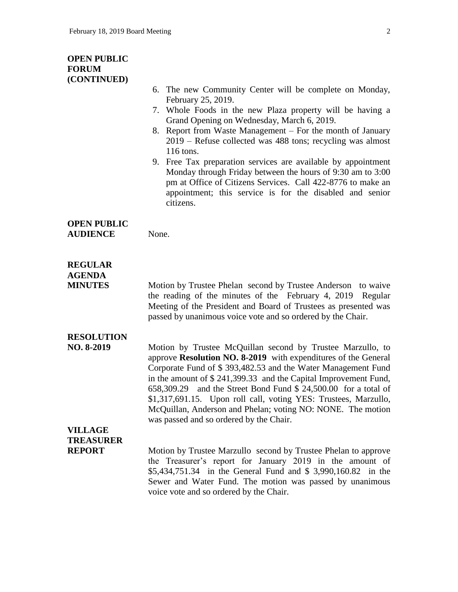#### **OPEN PUBLIC FORUM (CONTINUED)**

- 6. The new Community Center will be complete on Monday, February 25, 2019.
- 7. Whole Foods in the new Plaza property will be having a Grand Opening on Wednesday, March 6, 2019.
- 8. Report from Waste Management For the month of January 2019 – Refuse collected was 488 tons; recycling was almost 116 tons.
- 9. Free Tax preparation services are available by appointment Monday through Friday between the hours of 9:30 am to 3:00 pm at Office of Citizens Services. Call 422-8776 to make an appointment; this service is for the disabled and senior citizens.

### **OPEN PUBLIC**

**AUDIENCE** None.

#### **REGULAR AGENDA**

**MINUTES** Motion by Trustee Phelan second by Trustee Anderson to waive the reading of the minutes of the February 4, 2019 Regular Meeting of the President and Board of Trustees as presented was passed by unanimous voice vote and so ordered by the Chair.

### **RESOLUTION**

**NO. 8-2019** Motion by Trustee McQuillan second by Trustee Marzullo, to approve **Resolution NO. 8-2019** with expenditures of the General Corporate Fund of \$ 393,482.53 and the Water Management Fund in the amount of \$ 241,399.33 and the Capital Improvement Fund, 658,309.29 and the Street Bond Fund \$ 24,500.00 for a total of \$1,317,691.15. Upon roll call, voting YES: Trustees, Marzullo, McQuillan, Anderson and Phelan; voting NO: NONE. The motion was passed and so ordered by the Chair.

## **VILLAGE TREASURER**

**REPORT** Motion by Trustee Marzullo second by Trustee Phelan to approve the Treasurer's report for January 2019 in the amount of \$5,434,751.34 in the General Fund and \$ 3,990,160.82 in the Sewer and Water Fund. The motion was passed by unanimous voice vote and so ordered by the Chair.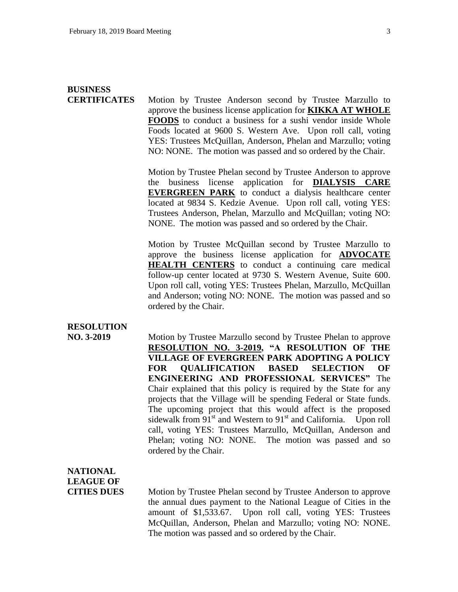## **BUSINESS CERTIFICATES** Motion by Trustee Anderson second by Trustee Marzullo to

approve the business license application for **KIKKA AT WHOLE FOODS** to conduct a business for a sushi vendor inside Whole Foods located at 9600 S. Western Ave. Upon roll call, voting YES: Trustees McQuillan, Anderson, Phelan and Marzullo; voting NO: NONE. The motion was passed and so ordered by the Chair.

Motion by Trustee Phelan second by Trustee Anderson to approve the business license application for **DIALYSIS CARE EVERGREEN PARK** to conduct a dialysis healthcare center located at 9834 S. Kedzie Avenue. Upon roll call, voting YES: Trustees Anderson, Phelan, Marzullo and McQuillan; voting NO: NONE. The motion was passed and so ordered by the Chair.

Motion by Trustee McQuillan second by Trustee Marzullo to approve the business license application for **ADVOCATE HEALTH CENTERS** to conduct a continuing care medical follow-up center located at 9730 S. Western Avenue, Suite 600. Upon roll call, voting YES: Trustees Phelan, Marzullo, McQuillan and Anderson; voting NO: NONE. The motion was passed and so ordered by the Chair.

### **RESOLUTION**

**NO. 3-2019** Motion by Trustee Marzullo second by Trustee Phelan to approve **RESOLUTION NO. 3-2019, "A RESOLUTION OF THE VILLAGE OF EVERGREEN PARK ADOPTING A POLICY FOR QUALIFICATION BASED SELECTION OF ENGINEERING AND PROFESSIONAL SERVICES"** The Chair explained that this policy is required by the State for any projects that the Village will be spending Federal or State funds. The upcoming project that this would affect is the proposed sidewalk from  $91<sup>st</sup>$  and Western to  $91<sup>st</sup>$  and California. Upon roll call, voting YES: Trustees Marzullo, McQuillan, Anderson and Phelan; voting NO: NONE. The motion was passed and so ordered by the Chair.

# **NATIONAL LEAGUE OF**

**CITIES DUES** Motion by Trustee Phelan second by Trustee Anderson to approve the annual dues payment to the National League of Cities in the amount of \$1,533.67. Upon roll call, voting YES: Trustees McQuillan, Anderson, Phelan and Marzullo; voting NO: NONE. The motion was passed and so ordered by the Chair.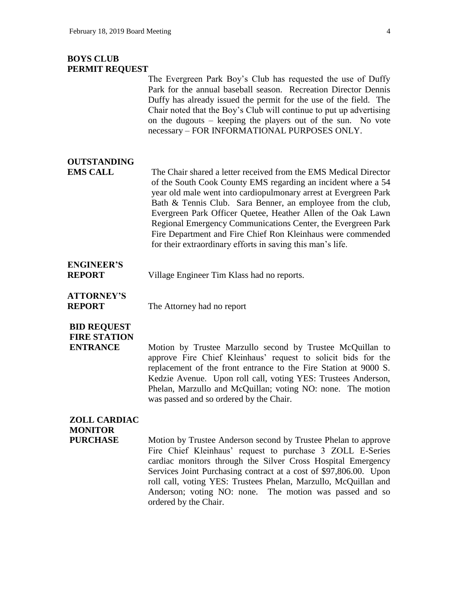#### **BOYS CLUB PERMIT REQUEST**

The Evergreen Park Boy's Club has requested the use of Duffy Park for the annual baseball season. Recreation Director Dennis Duffy has already issued the permit for the use of the field. The Chair noted that the Boy's Club will continue to put up advertising on the dugouts – keeping the players out of the sun. No vote necessary – FOR INFORMATIONAL PURPOSES ONLY.

### **OUTSTANDING**

**EMS CALL** The Chair shared a letter received from the EMS Medical Director of the South Cook County EMS regarding an incident where a 54 year old male went into cardiopulmonary arrest at Evergreen Park Bath & Tennis Club. Sara Benner, an employee from the club, Evergreen Park Officer Quetee, Heather Allen of the Oak Lawn Regional Emergency Communications Center, the Evergreen Park Fire Department and Fire Chief Ron Kleinhaus were commended for their extraordinary efforts in saving this man's life.

## **ENGINEER'S**

**REPORT** Village Engineer Tim Klass had no reports.

**ATTORNEY'S REPORT** The Attorney had no report

**BID REQUEST**

**FIRE STATION**

**ENTRANCE** Motion by Trustee Marzullo second by Trustee McQuillan to approve Fire Chief Kleinhaus' request to solicit bids for the replacement of the front entrance to the Fire Station at 9000 S. Kedzie Avenue. Upon roll call, voting YES: Trustees Anderson, Phelan, Marzullo and McQuillan; voting NO: none. The motion was passed and so ordered by the Chair.

### **ZOLL CARDIAC MONITOR**

**PURCHASE** Motion by Trustee Anderson second by Trustee Phelan to approve Fire Chief Kleinhaus' request to purchase 3 ZOLL E-Series cardiac monitors through the Silver Cross Hospital Emergency Services Joint Purchasing contract at a cost of \$97,806.00. Upon roll call, voting YES: Trustees Phelan, Marzullo, McQuillan and Anderson; voting NO: none. The motion was passed and so ordered by the Chair.